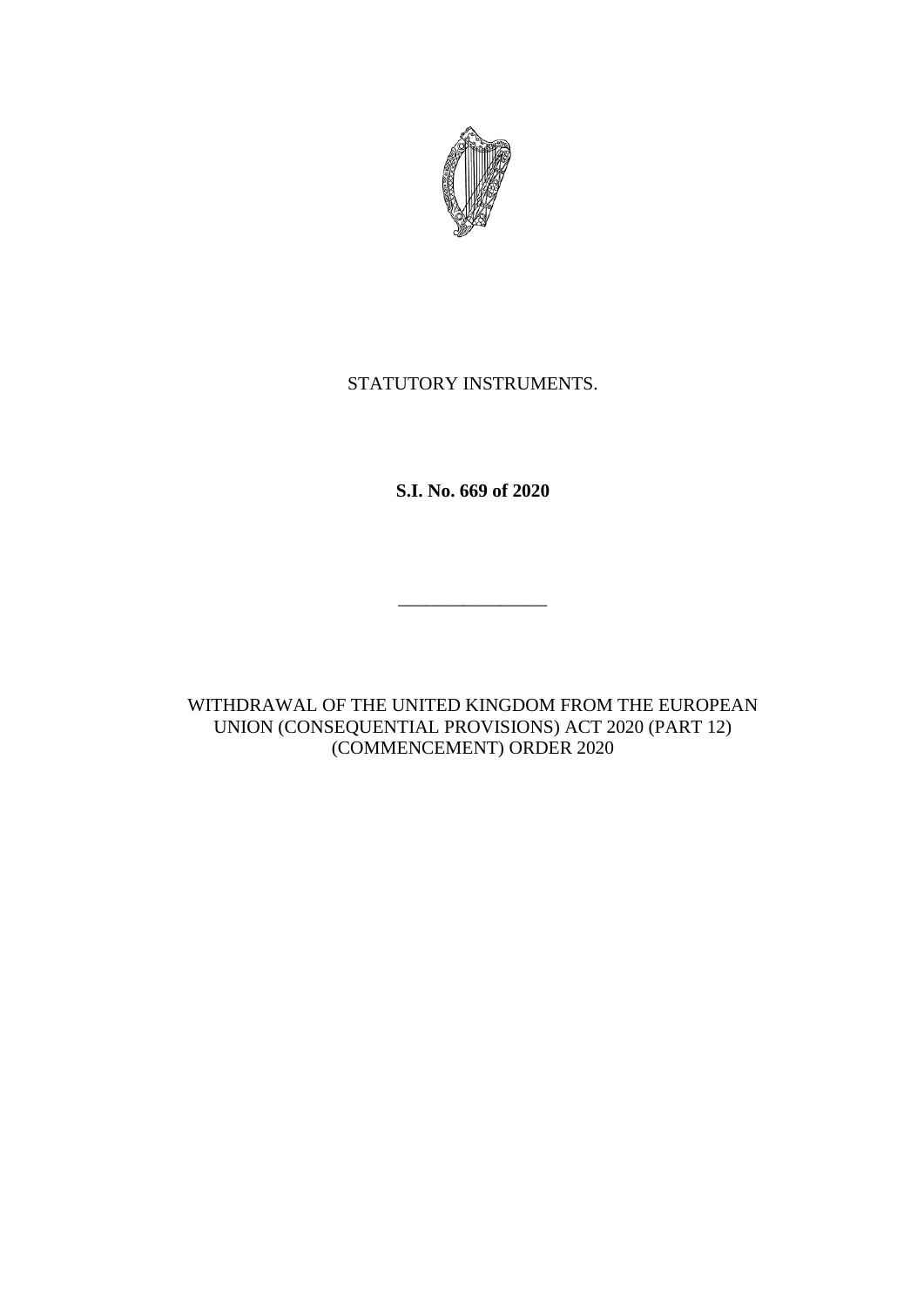

## STATUTORY INSTRUMENTS.

**S.I. No. 669 of 2020**

\_\_\_\_\_\_\_\_\_\_\_\_\_\_\_\_

WITHDRAWAL OF THE UNITED KINGDOM FROM THE EUROPEAN UNION (CONSEQUENTIAL PROVISIONS) ACT 2020 (PART 12) (COMMENCEMENT) ORDER 2020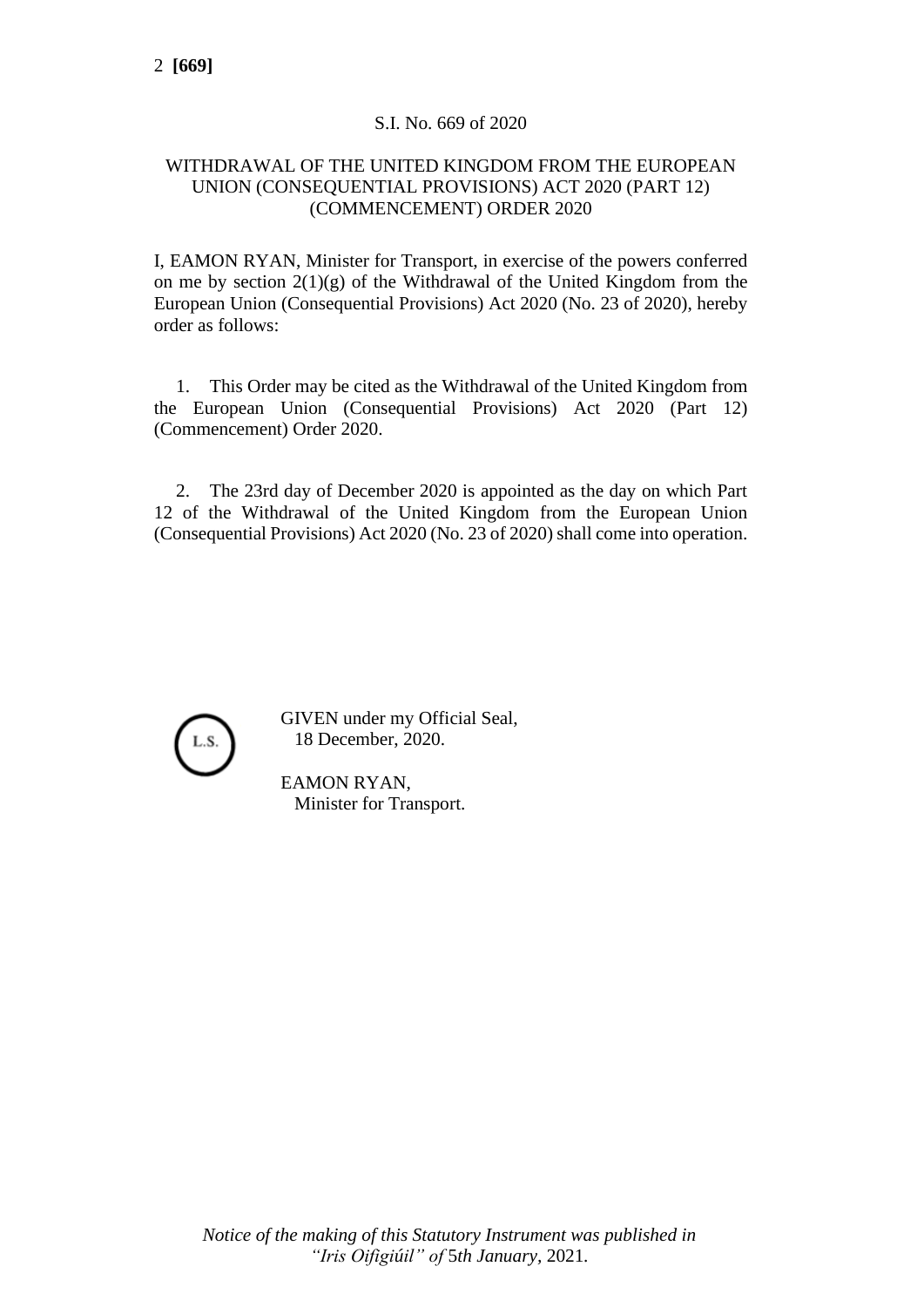## S.I. No. 669 of 2020

## WITHDRAWAL OF THE UNITED KINGDOM FROM THE EUROPEAN UNION (CONSEQUENTIAL PROVISIONS) ACT 2020 (PART 12) (COMMENCEMENT) ORDER 2020

I, EAMON RYAN, Minister for Transport, in exercise of the powers conferred on me by section  $2(1)(g)$  of the Withdrawal of the United Kingdom from the European Union (Consequential Provisions) Act 2020 (No. 23 of 2020), hereby order as follows:

1. This Order may be cited as the Withdrawal of the United Kingdom from the European Union (Consequential Provisions) Act 2020 (Part 12) (Commencement) Order 2020.

2. The 23rd day of December 2020 is appointed as the day on which Part 12 of the Withdrawal of the United Kingdom from the European Union (Consequential Provisions) Act 2020 (No. 23 of 2020) shall come into operation.



GIVEN under my Official Seal, 18 December, 2020.

EAMON RYAN, Minister for Transport.